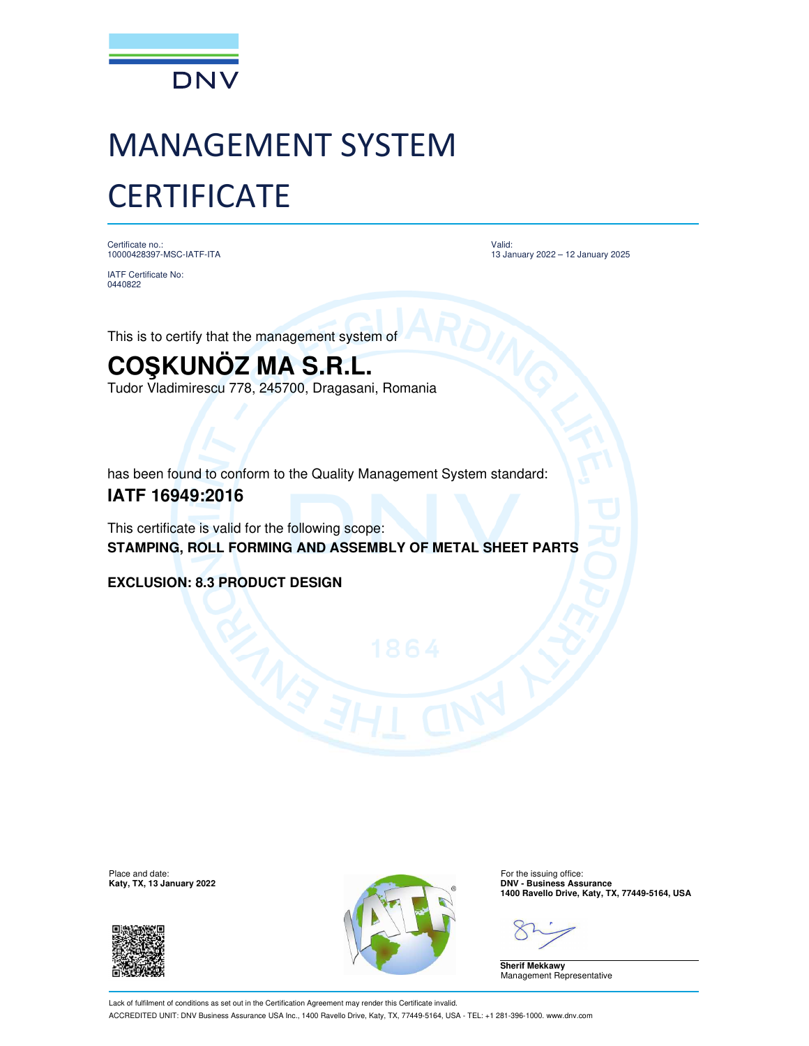

# MANAGEMENT SYSTEM **CERTIFICATE**

Certificate no.: 10000428397-MSC-IATF-ITA

Valid: 13 January 2022 – 12 January 2025

IATF Certificate No: 0440822

This is to certify that the management system of

## **COŞKUNÖZ MA S.R.L.**

Tudor Vladimirescu 778, 245700, Dragasani, Romania

has been found to conform to the Quality Management System standard:

### **IATF 16949:2016**

This certificate is valid for the following scope: **STAMPING, ROLL FORMING AND ASSEMBLY OF METAL SHEET PARTS**

**EXCLUSION: 8.3 PRODUCT DESIGN**

**Katy, TX, 13 January 2022** 





**1400 Ravello Drive, Katy, TX, 77449-5164, USA**

**Sherif Mekkawy** Management Representative

Lack of fulfilment of conditions as set out in the Certification Agreement may render this Certificate invalid. ACCREDITED UNIT: DNV Business Assurance USA Inc., 1400 Ravello Drive, Katy, TX, 77449-5164, USA - TEL: +1 281-396-1000. www.dnv.com